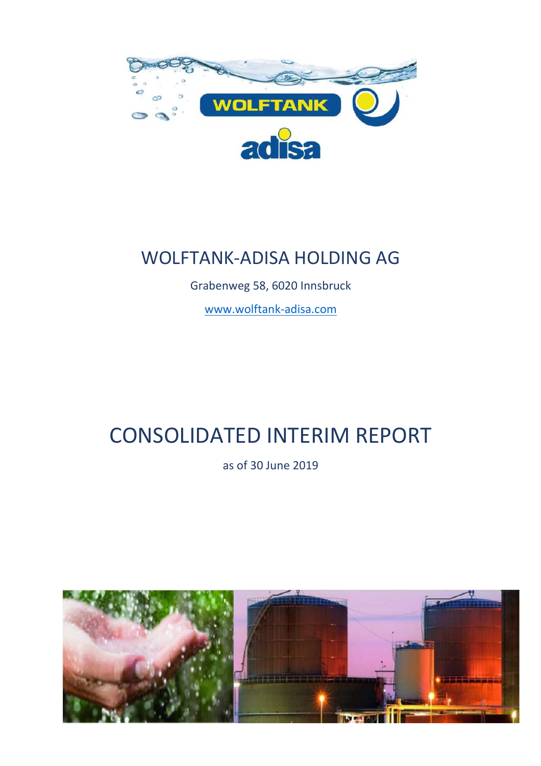

## WOLFTANK-ADISA HOLDING AG

Grabenweg 58, 6020 Innsbruck

www.wolftank-adisa.com

# CONSOLIDATED INTERIM REPORT

as of 30 June 2019

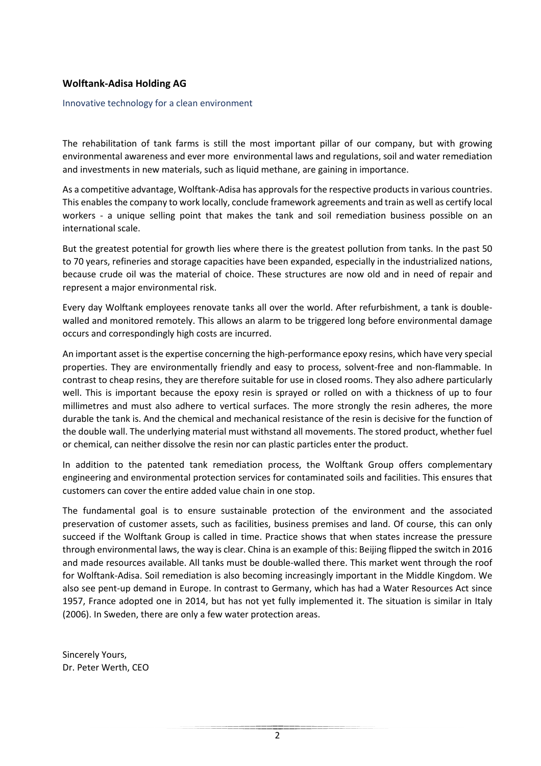#### **Wolftank-Adisa Holding AG**

#### Innovative technology for a clean environment

The rehabilitation of tank farms is still the most important pillar of our company, but with growing environmental awareness and ever more environmental laws and regulations, soil and water remediation and investments in new materials, such as liquid methane, are gaining in importance.

As a competitive advantage, Wolftank-Adisa has approvals for the respective products in various countries. This enables the company to work locally, conclude framework agreements and train as well as certify local workers - a unique selling point that makes the tank and soil remediation business possible on an international scale.

But the greatest potential for growth lies where there is the greatest pollution from tanks. In the past 50 to 70 years, refineries and storage capacities have been expanded, especially in the industrialized nations, because crude oil was the material of choice. These structures are now old and in need of repair and represent a major environmental risk.

Every day Wolftank employees renovate tanks all over the world. After refurbishment, a tank is doublewalled and monitored remotely. This allows an alarm to be triggered long before environmental damage occurs and correspondingly high costs are incurred.

An important asset is the expertise concerning the high-performance epoxy resins, which have very special properties. They are environmentally friendly and easy to process, solvent-free and non-flammable. In contrast to cheap resins, they are therefore suitable for use in closed rooms. They also adhere particularly well. This is important because the epoxy resin is sprayed or rolled on with a thickness of up to four millimetres and must also adhere to vertical surfaces. The more strongly the resin adheres, the more durable the tank is. And the chemical and mechanical resistance of the resin is decisive for the function of the double wall. The underlying material must withstand all movements. The stored product, whether fuel or chemical, can neither dissolve the resin nor can plastic particles enter the product.

In addition to the patented tank remediation process, the Wolftank Group offers complementary engineering and environmental protection services for contaminated soils and facilities. This ensures that customers can cover the entire added value chain in one stop.

The fundamental goal is to ensure sustainable protection of the environment and the associated preservation of customer assets, such as facilities, business premises and land. Of course, this can only succeed if the Wolftank Group is called in time. Practice shows that when states increase the pressure through environmental laws, the way is clear. China is an example of this: Beijing flipped the switch in 2016 and made resources available. All tanks must be double-walled there. This market went through the roof for Wolftank-Adisa. Soil remediation is also becoming increasingly important in the Middle Kingdom. We also see pent-up demand in Europe. In contrast to Germany, which has had a Water Resources Act since 1957, France adopted one in 2014, but has not yet fully implemented it. The situation is similar in Italy (2006). In Sweden, there are only a few water protection areas.

Sincerely Yours, Dr. Peter Werth, CEO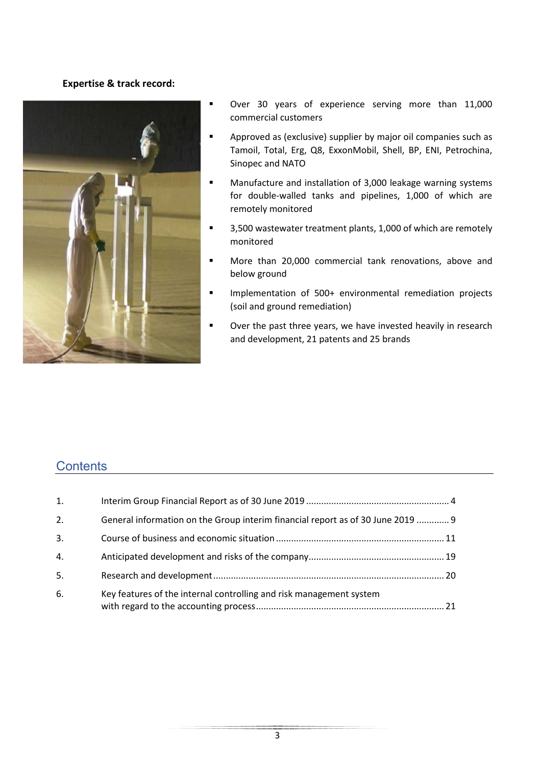#### **Expertise & track record:**



- Over 30 years of experience serving more than 11,000 commercial customers
- **EXP** Approved as (exclusive) supplier by major oil companies such as Tamoil, Total, Erg, Q8, ExxonMobil, Shell, BP, ENI, Petrochina, Sinopec and NATO
- **Manufacture and installation of 3,000 leakage warning systems** for double-walled tanks and pipelines, 1,000 of which are remotely monitored
- 3,500 wastewater treatment plants, 1,000 of which are remotely monitored
- **More than 20,000 commercial tank renovations, above and** below ground
- **Implementation of 500+ environmental remediation projects** (soil and ground remediation)
- **•** Over the past three years, we have invested heavily in research and development, 21 patents and 25 brands

## **Contents**

| 1.               |                                                                                 |  |
|------------------|---------------------------------------------------------------------------------|--|
| 2.               | General information on the Group interim financial report as of 30 June 2019  9 |  |
| $\overline{3}$ . |                                                                                 |  |
| 4.               |                                                                                 |  |
| 5.               |                                                                                 |  |
| 6.               | Key features of the internal controlling and risk management system             |  |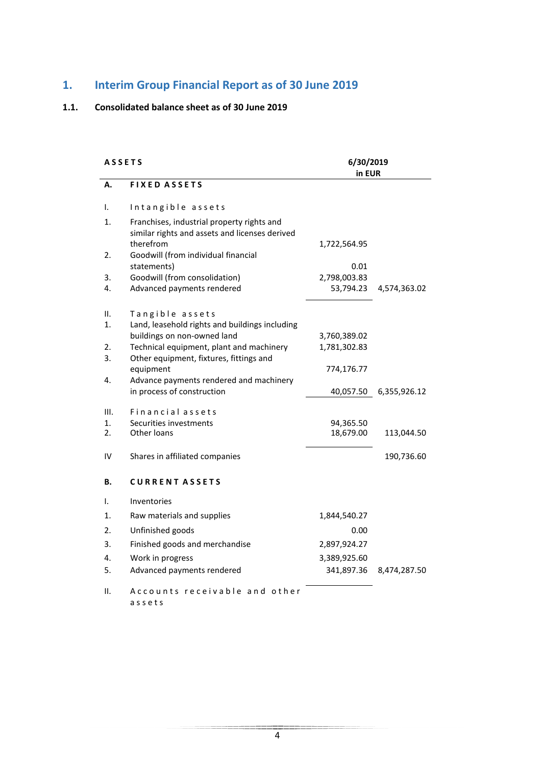#### **1. Interim Group Financial Report as of 30 June 2019**

#### **1.1. Consolidated balance sheet as of 30 June 2019**

## A S S E T S 6/30/2019 **in EUR A. F I X E D A S S E T S**  I. Intangible assets 1. Franchises, industrial property rights and similar rights and assets and licenses derived therefrom 1,722,564.95 2. Goodwill (from individual financial statements) 0.01 3. Goodwill (from consolidation) 2,798,003.83 4. Advanced payments rendered 53,794.23 4,574,363.02 II. Tangible assets 1. Land, leasehold rights and buildings including buildings on non-owned land 3,760,389.02 2. Technical equipment, plant and machinery 1.781.302.83 3. Other equipment, fixtures, fittings and equipment 774,176.77 4. Advance payments rendered and machinery in process of construction 40,057.50 6,355,926.12 III. Financial assets 1. Securities investments<br>
2. Other loans<br>
18,679.00 113,044.50 IV Shares in affiliated companies 190,736.60 **B. C U R R E N T A S S E T S**  I. Inventories 1. Raw materials and supplies 1.844,540.27 2. Unfinished goods 0.00 3. Finished goods and merchandise 2,897,924.27 4. Work in progress 3,389,925.60 5. Advanced payments rendered 341,897.36 8,474,287.50 II. Accounts receivable and other a s s e t s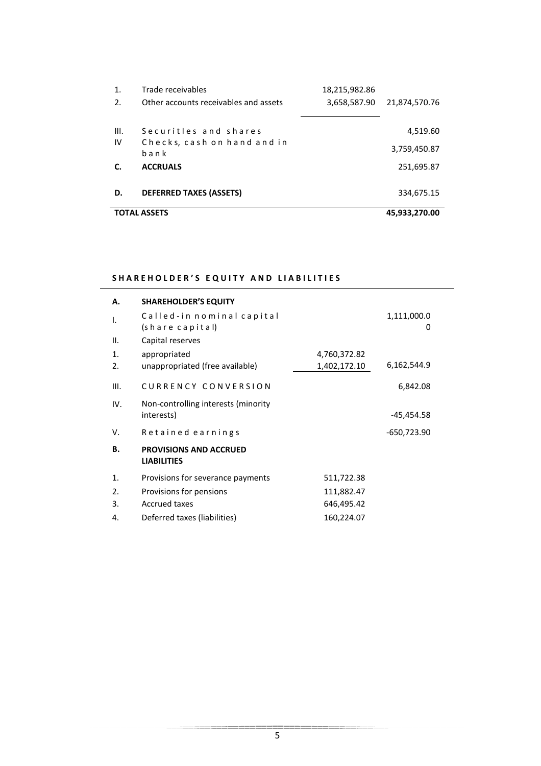| 1.   | Trade receivables                     | 18,215,982.86 |               |
|------|---------------------------------------|---------------|---------------|
| 2.   | Other accounts receivables and assets | 3,658,587.90  | 21,874,570.76 |
|      |                                       |               |               |
| III. | Securitles and shares                 |               | 4,519.60      |
| IV   | Checks, cash on hand and in           |               | 3,759,450.87  |
|      | bank                                  |               |               |
|      | <b>ACCRUALS</b>                       |               | 251,695.87    |
|      |                                       |               |               |
| D.   | <b>DEFERRED TAXES (ASSETS)</b>        |               | 334,675.15    |
|      |                                       |               |               |
|      | <b>TOTAL ASSETS</b>                   |               | 45,933,270.00 |

#### SHAREHOLDER'S EQUITY AND LIABILITIES

| А.   | <b>SHAREHOLDER'S EQUITY</b>                         |              |                  |
|------|-----------------------------------------------------|--------------|------------------|
| I.   | Called-in nominal capital<br>(share capital)        |              | 1,111,000.0<br>0 |
| Ш.   | Capital reserves                                    |              |                  |
| 1.   | appropriated                                        | 4,760,372.82 |                  |
| 2.   | unappropriated (free available)                     | 1,402,172.10 | 6,162,544.9      |
| III. | CURRENCY CONVERSION                                 |              | 6,842.08         |
| IV.  | Non-controlling interests (minority                 |              | -45,454.58       |
|      | interests)                                          |              |                  |
| v.   | Retained earnings                                   |              | -650,723.90      |
| В.   | <b>PROVISIONS AND ACCRUED</b><br><b>LIABILITIES</b> |              |                  |
| 1.   | Provisions for severance payments                   | 511,722.38   |                  |
| 2.   | Provisions for pensions                             | 111,882.47   |                  |
| 3.   | <b>Accrued taxes</b>                                | 646,495.42   |                  |
| 4.   | Deferred taxes (liabilities)                        | 160,224.07   |                  |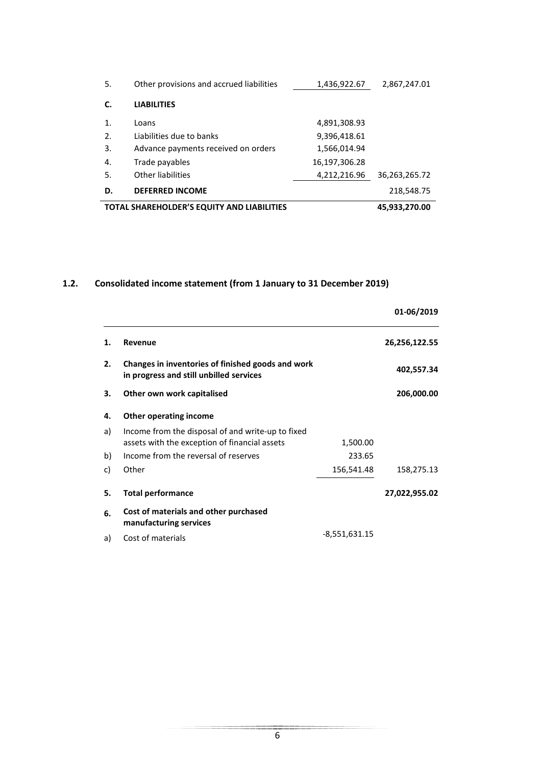| <b>TOTAL SHAREHOLDER'S EQUITY AND LIABILITIES</b> |                                          |               | 45,933,270.00 |
|---------------------------------------------------|------------------------------------------|---------------|---------------|
| D.                                                | <b>DEFERRED INCOME</b>                   |               | 218,548.75    |
| 5.                                                | <b>Other liabilities</b>                 | 4,212,216.96  | 36,263,265.72 |
| 4.                                                | Trade payables                           | 16,197,306.28 |               |
| 3.                                                | Advance payments received on orders      | 1,566,014.94  |               |
| 2.                                                | Liabilities due to banks                 | 9,396,418.61  |               |
| $\mathbf{1}$ .                                    | Loans                                    | 4,891,308.93  |               |
| C.                                                | <b>LIABILITIES</b>                       |               |               |
| 5.                                                | Other provisions and accrued liabilities | 1,436,922.67  | 2,867,247.01  |

#### **1.2. Consolidated income statement (from 1 January to 31 December 2019)**

|    |                                                                                                    |               | 01-06/2019    |
|----|----------------------------------------------------------------------------------------------------|---------------|---------------|
| 1. | Revenue                                                                                            |               | 26,256,122.55 |
| 2. | Changes in inventories of finished goods and work<br>in progress and still unbilled services       |               | 402,557.34    |
| 3. | Other own work capitalised                                                                         |               | 206,000.00    |
| 4. | <b>Other operating income</b>                                                                      |               |               |
| a) | Income from the disposal of and write-up to fixed<br>assets with the exception of financial assets | 1,500.00      |               |
| b) | Income from the reversal of reserves                                                               | 233.65        |               |
| c) | Other                                                                                              | 156,541.48    | 158,275.13    |
| 5. | <b>Total performance</b>                                                                           |               | 27,022,955.02 |
| 6. | Cost of materials and other purchased<br>manufacturing services                                    |               |               |
| a) | Cost of materials                                                                                  | -8,551,631.15 |               |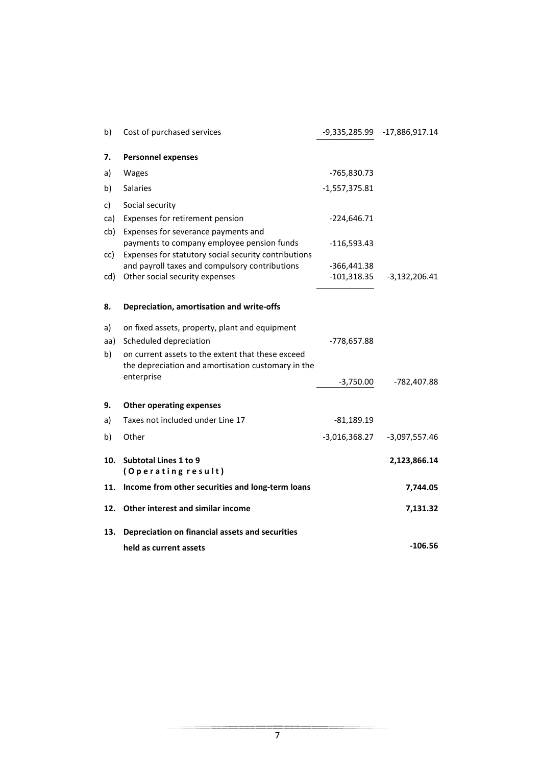| b)  | Cost of purchased services                                                                             | -9,335,285.99   | $-17,886,917.14$ |
|-----|--------------------------------------------------------------------------------------------------------|-----------------|------------------|
| 7.  | <b>Personnel expenses</b>                                                                              |                 |                  |
| a)  | Wages                                                                                                  | -765,830.73     |                  |
| b)  | Salaries                                                                                               | $-1,557,375.81$ |                  |
| c)  | Social security                                                                                        |                 |                  |
| ca) | Expenses for retirement pension                                                                        | $-224,646.71$   |                  |
| cb) | Expenses for severance payments and                                                                    |                 |                  |
|     | payments to company employee pension funds                                                             | $-116,593.43$   |                  |
| cc) | Expenses for statutory social security contributions<br>and payroll taxes and compulsory contributions | $-366,441.38$   |                  |
| cd) | Other social security expenses                                                                         | $-101,318.35$   | $-3,132,206.41$  |
|     |                                                                                                        |                 |                  |
| 8.  | Depreciation, amortisation and write-offs                                                              |                 |                  |
| a)  | on fixed assets, property, plant and equipment                                                         |                 |                  |
| aa) | Scheduled depreciation                                                                                 | -778,657.88     |                  |
| b)  | on current assets to the extent that these exceed                                                      |                 |                  |
|     | the depreciation and amortisation customary in the                                                     |                 |                  |
|     | enterprise                                                                                             | $-3,750.00$     | -782,407.88      |
| 9.  | <b>Other operating expenses</b>                                                                        |                 |                  |
| a)  | Taxes not included under Line 17                                                                       | $-81,189.19$    |                  |
| b)  | Other                                                                                                  | $-3,016,368.27$ | $-3,097,557.46$  |
|     |                                                                                                        |                 |                  |
| 10. | <b>Subtotal Lines 1 to 9</b>                                                                           |                 | 2,123,866.14     |
|     | (Operating result)                                                                                     |                 |                  |
| 11. | Income from other securities and long-term loans                                                       |                 | 7,744.05         |
| 12. | Other interest and similar income                                                                      |                 | 7,131.32         |
| 13. | Depreciation on financial assets and securities                                                        |                 |                  |
|     | held as current assets                                                                                 |                 | $-106.56$        |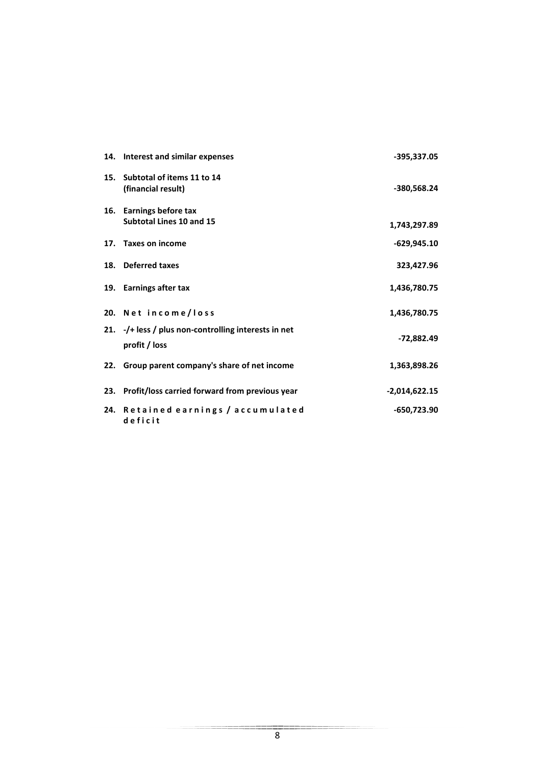|     | 14. Interest and similar expenses                                             | -395,337.05     |
|-----|-------------------------------------------------------------------------------|-----------------|
| 15. | Subtotal of items 11 to 14<br>(financial result)                              | -380,568.24     |
| 16. | <b>Earnings before tax</b><br><b>Subtotal Lines 10 and 15</b>                 | 1,743,297.89    |
|     | 17. Taxes on income                                                           | -629,945.10     |
|     | 18. Deferred taxes                                                            | 323,427.96      |
|     | 19. Earnings after tax                                                        | 1,436,780.75    |
|     | 20. Net income/loss                                                           | 1,436,780.75    |
|     | 21. $-\prime$ + less / plus non-controlling interests in net<br>profit / loss | -72,882.49      |
|     | 22. Group parent company's share of net income                                | 1,363,898.26    |
| 23. | Profit/loss carried forward from previous year                                | $-2,014,622.15$ |
| 24. | Retained earnings / accumulated<br>deficit                                    | -650,723.90     |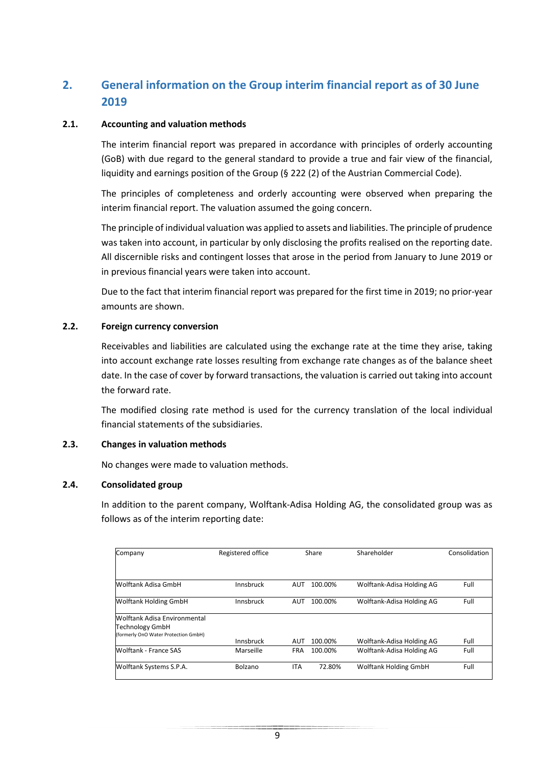## **2. General information on the Group interim financial report as of 30 June 2019**

#### **2.1. Accounting and valuation methods**

The interim financial report was prepared in accordance with principles of orderly accounting (GoB) with due regard to the general standard to provide a true and fair view of the financial, liquidity and earnings position of the Group (§ 222 (2) of the Austrian Commercial Code).

The principles of completeness and orderly accounting were observed when preparing the interim financial report. The valuation assumed the going concern.

The principle of individual valuation was applied to assets and liabilities. The principle of prudence was taken into account, in particular by only disclosing the profits realised on the reporting date. All discernible risks and contingent losses that arose in the period from January to June 2019 or in previous financial years were taken into account.

Due to the fact that interim financial report was prepared for the first time in 2019; no prior-year amounts are shown.

#### **2.2. Foreign currency conversion**

Receivables and liabilities are calculated using the exchange rate at the time they arise, taking into account exchange rate losses resulting from exchange rate changes as of the balance sheet date. In the case of cover by forward transactions, the valuation is carried out taking into account the forward rate.

The modified closing rate method is used for the currency translation of the local individual financial statements of the subsidiaries.

#### **2.3. Changes in valuation methods**

No changes were made to valuation methods.

#### **2.4. Consolidated group**

In addition to the parent company, Wolftank-Adisa Holding AG, the consolidated group was as follows as of the interim reporting date:

| Company                                                        | Registered office | Share      |         | Shareholder                  | Consolidation |  |
|----------------------------------------------------------------|-------------------|------------|---------|------------------------------|---------------|--|
|                                                                |                   |            |         |                              |               |  |
| Wolftank Adisa GmbH                                            | Innsbruck         | AUT        | 100.00% | Wolftank-Adisa Holding AG    | Full          |  |
| <b>Wolftank Holding GmbH</b>                                   | Innsbruck         | <b>AUT</b> | 100.00% | Wolftank-Adisa Holding AG    | Full          |  |
| Wolftank Adisa Environmental                                   |                   |            |         |                              |               |  |
| <b>Technology GmbH</b><br>(formerly OnO Water Protection GmbH) |                   |            |         |                              |               |  |
|                                                                | Innsbruck         | <b>AUT</b> | 100.00% | Wolftank-Adisa Holding AG    | Full          |  |
| Wolftank - France SAS                                          | Marseille         | <b>FRA</b> | 100.00% | Wolftank-Adisa Holding AG    | Full          |  |
| Wolftank Systems S.P.A.                                        | Bolzano           | <b>ITA</b> | 72.80%  | <b>Wolftank Holding GmbH</b> | Full          |  |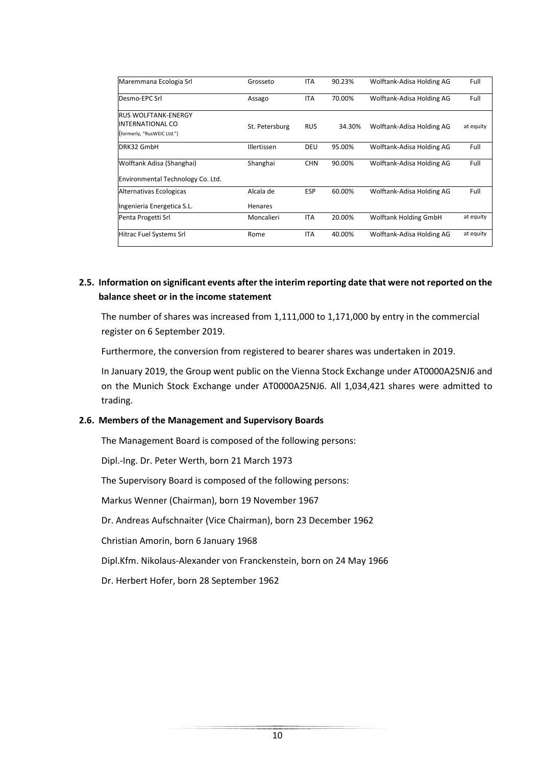| Maremmana Ecologia Srl            | Grosseto       | <b>ITA</b> | 90.23% | Wolftank-Adisa Holding AG    | Full      |
|-----------------------------------|----------------|------------|--------|------------------------------|-----------|
| Desmo-EPC Srl                     | Assago         | <b>ITA</b> | 70.00% | Wolftank-Adisa Holding AG    | Full      |
| <b>RUS WOLFTANK-ENERGY</b>        |                |            |        |                              |           |
| <b>INTERNATIONAL CO</b>           | St. Petersburg | <b>RUS</b> | 34.30% | Wolftank-Adisa Holding AG    | at equity |
| (formerly, "RusWEIC Ltd.")        |                |            |        |                              |           |
| DRK32 GmbH                        | Illertissen    | DEU        | 95.00% | Wolftank-Adisa Holding AG    | Full      |
| Wolftank Adisa (Shanghai)         | Shanghai       | <b>CHN</b> | 90.00% | Wolftank-Adisa Holding AG    | Full      |
| Environmental Technology Co. Ltd. |                |            |        |                              |           |
| Alternativas Ecologicas           | Alcala de      | <b>ESP</b> | 60.00% | Wolftank-Adisa Holding AG    | Full      |
| Ingenieria Energetica S.L.        | Henares        |            |        |                              |           |
| Penta Progetti Srl                | Moncalieri     | <b>ITA</b> | 20.00% | <b>Wolftank Holding GmbH</b> | at equity |
| Hitrac Fuel Systems Srl           | Rome           | <b>ITA</b> | 40.00% | Wolftank-Adisa Holding AG    | at equity |
|                                   |                |            |        |                              |           |

#### **2.5. Information on significant events after the interim reporting date that were not reported on the balance sheet or in the income statement**

The number of shares was increased from 1,111,000 to 1,171,000 by entry in the commercial register on 6 September 2019.

Furthermore, the conversion from registered to bearer shares was undertaken in 2019.

In January 2019, the Group went public on the Vienna Stock Exchange under AT0000A25NJ6 and on the Munich Stock Exchange under AT0000A25NJ6. All 1,034,421 shares were admitted to trading.

#### **2.6. Members of the Management and Supervisory Boards**

The Management Board is composed of the following persons:

Dipl.-Ing. Dr. Peter Werth, born 21 March 1973

The Supervisory Board is composed of the following persons:

Markus Wenner (Chairman), born 19 November 1967

Dr. Andreas Aufschnaiter (Vice Chairman), born 23 December 1962

Christian Amorin, born 6 January 1968

Dipl.Kfm. Nikolaus-Alexander von Franckenstein, born on 24 May 1966

Dr. Herbert Hofer, born 28 September 1962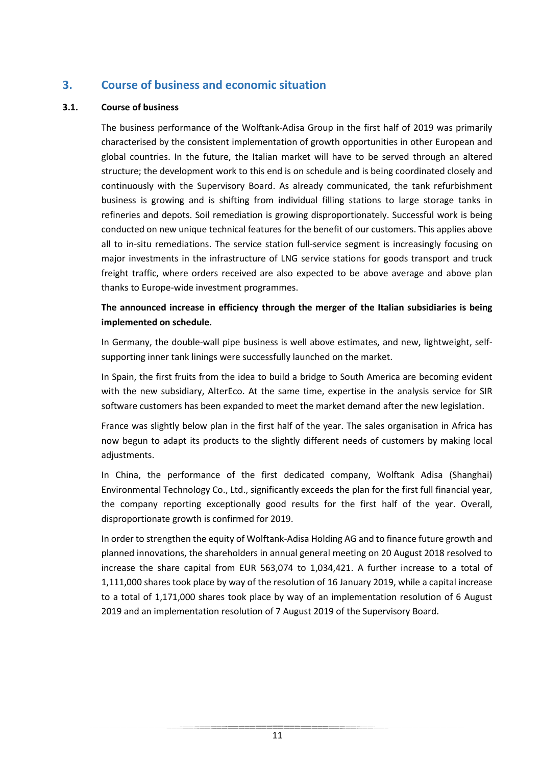## **3. Course of business and economic situation**

#### **3.1. Course of business**

The business performance of the Wolftank-Adisa Group in the first half of 2019 was primarily characterised by the consistent implementation of growth opportunities in other European and global countries. In the future, the Italian market will have to be served through an altered structure; the development work to this end is on schedule and is being coordinated closely and continuously with the Supervisory Board. As already communicated, the tank refurbishment business is growing and is shifting from individual filling stations to large storage tanks in refineries and depots. Soil remediation is growing disproportionately. Successful work is being conducted on new unique technical features for the benefit of our customers. This applies above all to in-situ remediations. The service station full-service segment is increasingly focusing on major investments in the infrastructure of LNG service stations for goods transport and truck freight traffic, where orders received are also expected to be above average and above plan thanks to Europe-wide investment programmes.

#### **The announced increase in efficiency through the merger of the Italian subsidiaries is being implemented on schedule.**

In Germany, the double-wall pipe business is well above estimates, and new, lightweight, selfsupporting inner tank linings were successfully launched on the market.

In Spain, the first fruits from the idea to build a bridge to South America are becoming evident with the new subsidiary, AlterEco. At the same time, expertise in the analysis service for SIR software customers has been expanded to meet the market demand after the new legislation.

France was slightly below plan in the first half of the year. The sales organisation in Africa has now begun to adapt its products to the slightly different needs of customers by making local adjustments.

In China, the performance of the first dedicated company, Wolftank Adisa (Shanghai) Environmental Technology Co., Ltd., significantly exceeds the plan for the first full financial year, the company reporting exceptionally good results for the first half of the year. Overall, disproportionate growth is confirmed for 2019.

In order to strengthen the equity of Wolftank-Adisa Holding AG and to finance future growth and planned innovations, the shareholders in annual general meeting on 20 August 2018 resolved to increase the share capital from EUR 563,074 to 1,034,421. A further increase to a total of 1,111,000 shares took place by way of the resolution of 16 January 2019, while a capital increase to a total of 1,171,000 shares took place by way of an implementation resolution of 6 August 2019 and an implementation resolution of 7 August 2019 of the Supervisory Board.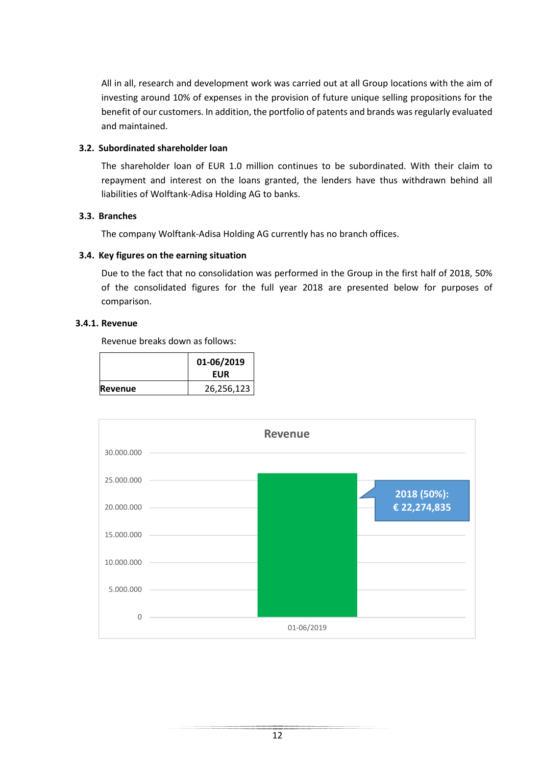All in all, research and development work was carried out at all Group locations with the aim of investing around 10% of expenses in the provision of future unique selling propositions for the benefit of our customers. In addition, the portfolio of patents and brands was regularly evaluated and maintained.

#### **3.2. Subordinated shareholder loan**

The shareholder loan of EUR 1.0 million continues to be subordinated. With their claim to repayment and interest on the loans granted, the lenders have thus withdrawn behind all liabilities of Wolftank-Adisa Holding AG to banks.

#### **3.3. Branches**

The company Wolftank-Adisa Holding AG currently has no branch offices.

#### **3.4. Key figures on the earning situation**

Due to the fact that no consolidation was performed in the Group in the first half of 2018, 50% of the consolidated figures for the full year 2018 are presented below for purposes of comparison.

#### **3.4.1. Revenue**

Revenue breaks down as follows:

|                | 01-06/2019<br><b>EUR</b> |
|----------------|--------------------------|
| <b>Revenue</b> | 26,256,123               |

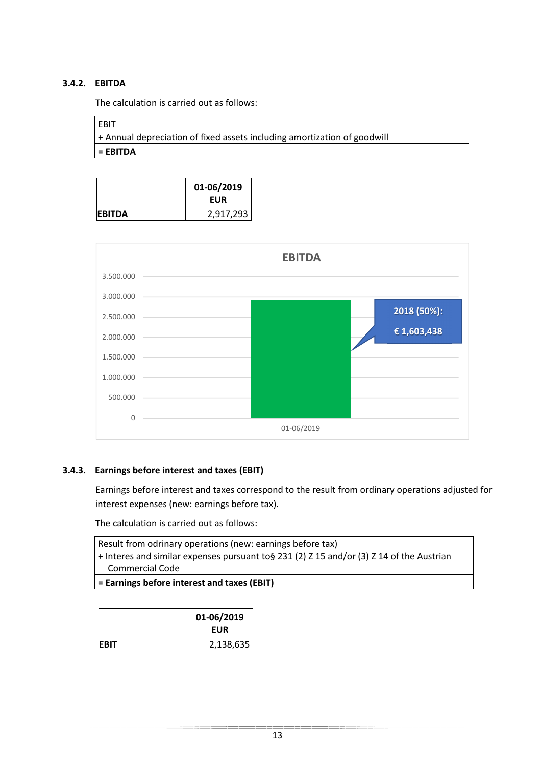#### **3.4.2. EBITDA**

The calculation is carried out as follows:

#### EBIT

+ Annual depreciation of fixed assets including amortization of goodwill **= EBITDA** 

|                | 01-06/2019<br><b>EUR</b> |
|----------------|--------------------------|
| <b>IEBITDA</b> | 2,917,293                |



#### **3.4.3. Earnings before interest and taxes (EBIT)**

Earnings before interest and taxes correspond to the result from ordinary operations adjusted for interest expenses (new: earnings before tax).

The calculation is carried out as follows:

| $=$ $\Gamma$ oveinge hofers interest and texes $(\Gamma$ DIT)                             |  |
|-------------------------------------------------------------------------------------------|--|
| Commercial Code                                                                           |  |
| + Interes and similar expenses pursuant to § 231 (2) Z 15 and/or (3) Z 14 of the Austrian |  |
| Result from odrinary operations (new: earnings before tax)                                |  |
|                                                                                           |  |
|                                                                                           |  |

|  | = Earnings before interest and taxes (EBIT) |  |  |  |  |  |  |
|--|---------------------------------------------|--|--|--|--|--|--|
|--|---------------------------------------------|--|--|--|--|--|--|

|              | 01-06/2019<br><b>EUR</b> |
|--------------|--------------------------|
| <b>IEBIT</b> | 2,138,635                |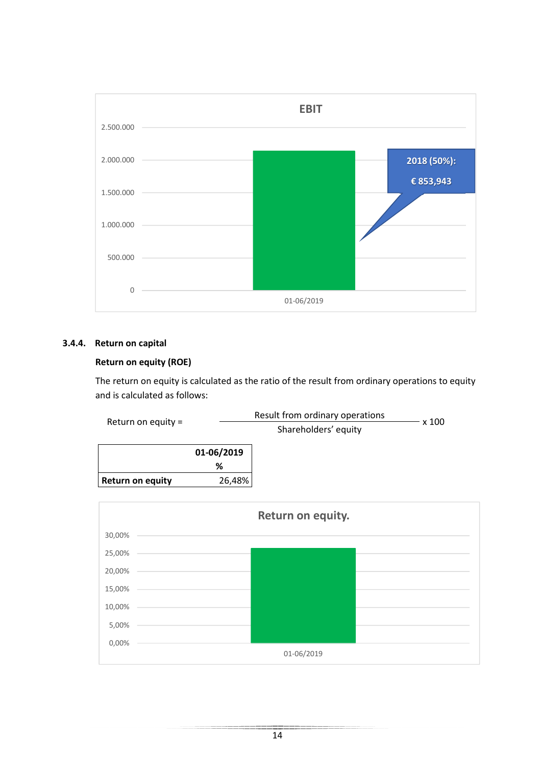

#### **3.4.4. Return on capital**

#### **Return on equity (ROE)**

The return on equity is calculated as the ratio of the result from ordinary operations to equity and is calculated as follows:



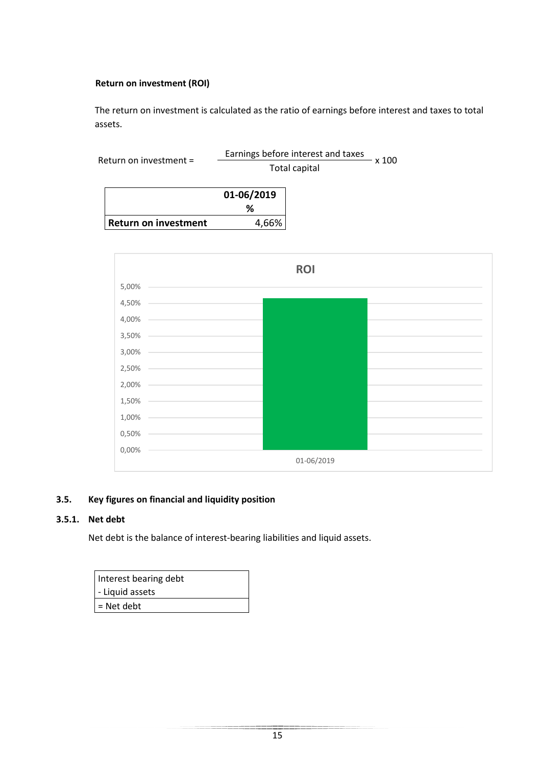#### **Return on investment (ROI)**

The return on investment is calculated as the ratio of earnings before interest and taxes to total assets.

| x 100         |
|---------------|
| Total capital |
| 01-06/2019    |
|               |
| 4,66%         |
|               |



#### **3.5. Key figures on financial and liquidity position**

#### **3.5.1. Net debt**

Net debt is the balance of interest-bearing liabilities and liquid assets.

| Interest bearing debt |
|-----------------------|
| - Liquid assets       |
| $=$ Net debt          |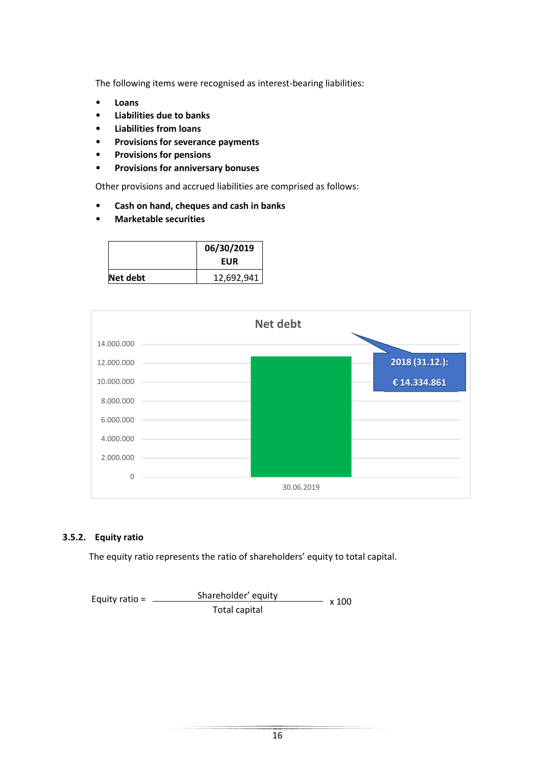The following items were recognised as interest-bearing liabilities:

- **Loans**
- **Liabilities due to banks**
- **Liabilities from loans**
- **Provisions for severance payments**
- **Provisions for pensions**
- **Provisions for anniversary bonuses**

Other provisions and accrued liabilities are comprised as follows:

- **Cash on hand, cheques and cash in banks**
- **Marketable securities**

|          | 06/30/2019 |
|----------|------------|
|          | EUR        |
| Net debt | 12,692,941 |



#### **3.5.2. Equity ratio**

The equity ratio represents the ratio of shareholders' equity to total capital.

Shareholder' equity Total capital Equity ratio =  $\frac{\text{S} \cdot \text{S} \cdot \text{S}}{2 \cdot \text{S} \cdot \text{S}}$  x 100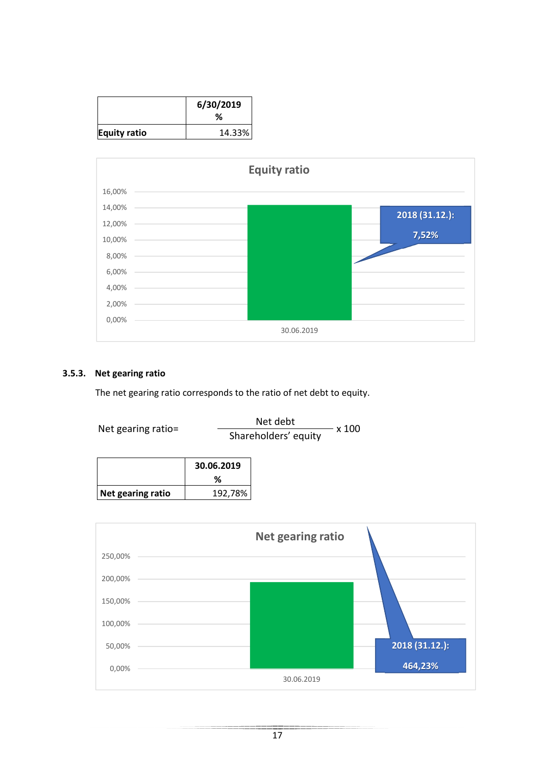|              | 6/30/2019<br>℅ |
|--------------|----------------|
| Equity ratio | 14.33%         |



#### **3.5.3. Net gearing ratio**

The net gearing ratio corresponds to the ratio of net debt to equity.

Net gearing ratio=  $\frac{\text{Net debt}}{\text{Shareholders' equity}} \times 100$ 

|                   | 30.06.2019<br>℅ |
|-------------------|-----------------|
| Net gearing ratio | 192,78%         |

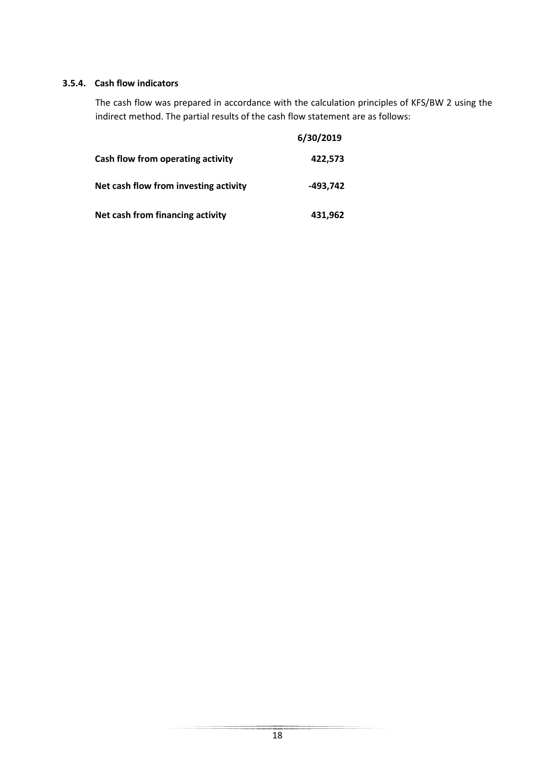#### **3.5.4. Cash flow indicators**

The cash flow was prepared in accordance with the calculation principles of KFS/BW 2 using the indirect method. The partial results of the cash flow statement are as follows:

|                                       | 6/30/2019 |
|---------------------------------------|-----------|
| Cash flow from operating activity     | 422,573   |
| Net cash flow from investing activity | -493,742  |
| Net cash from financing activity      | 431,962   |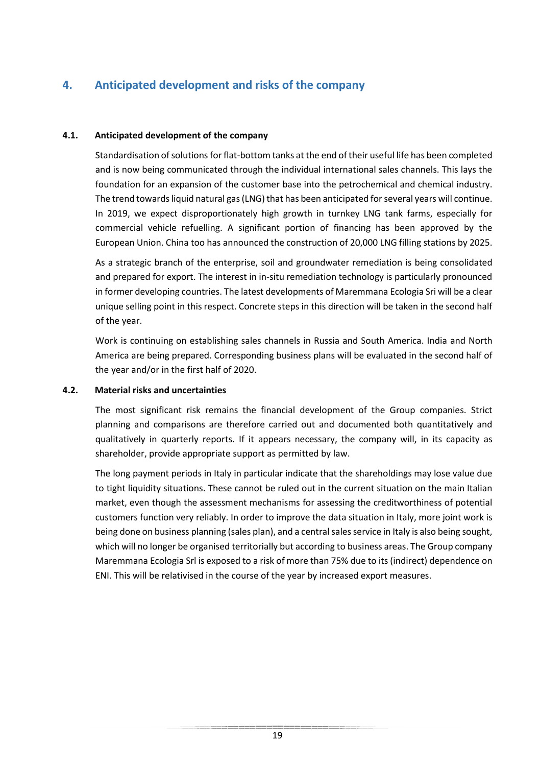## **4. Anticipated development and risks of the company**

#### **4.1. Anticipated development of the company**

Standardisation of solutions for flat-bottom tanks at the end of their useful life has been completed and is now being communicated through the individual international sales channels. This lays the foundation for an expansion of the customer base into the petrochemical and chemical industry. The trend towards liquid natural gas (LNG) that has been anticipated for several years will continue. In 2019, we expect disproportionately high growth in turnkey LNG tank farms, especially for commercial vehicle refuelling. A significant portion of financing has been approved by the European Union. China too has announced the construction of 20,000 LNG filling stations by 2025.

As a strategic branch of the enterprise, soil and groundwater remediation is being consolidated and prepared for export. The interest in in-situ remediation technology is particularly pronounced in former developing countries. The latest developments of Maremmana Ecologia Sri will be a clear unique selling point in this respect. Concrete steps in this direction will be taken in the second half of the year.

Work is continuing on establishing sales channels in Russia and South America. India and North America are being prepared. Corresponding business plans will be evaluated in the second half of the year and/or in the first half of 2020.

#### **4.2. Material risks and uncertainties**

The most significant risk remains the financial development of the Group companies. Strict planning and comparisons are therefore carried out and documented both quantitatively and qualitatively in quarterly reports. If it appears necessary, the company will, in its capacity as shareholder, provide appropriate support as permitted by law.

The long payment periods in Italy in particular indicate that the shareholdings may lose value due to tight liquidity situations. These cannot be ruled out in the current situation on the main Italian market, even though the assessment mechanisms for assessing the creditworthiness of potential customers function very reliably. In order to improve the data situation in Italy, more joint work is being done on business planning (sales plan), and a central sales service in Italy is also being sought, which will no longer be organised territorially but according to business areas. The Group company Maremmana Ecologia Srl is exposed to a risk of more than 75% due to its (indirect) dependence on ENI. This will be relativised in the course of the year by increased export measures.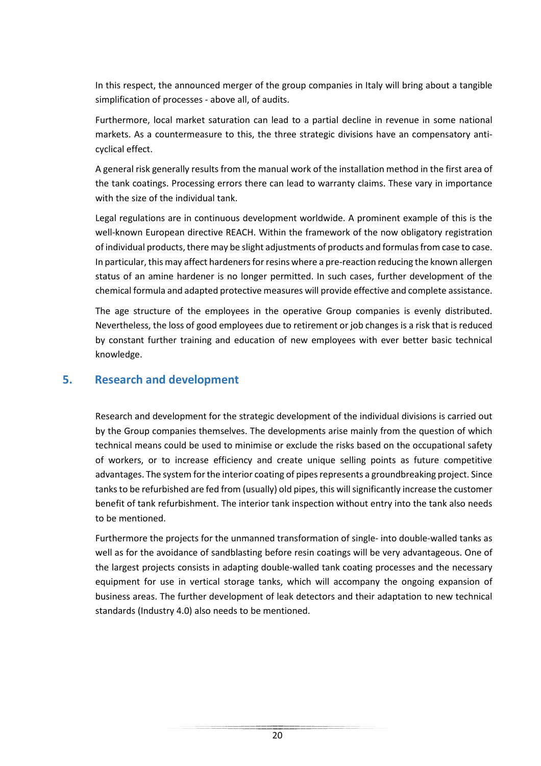In this respect, the announced merger of the group companies in Italy will bring about a tangible simplification of processes - above all, of audits.

Furthermore, local market saturation can lead to a partial decline in revenue in some national markets. As a countermeasure to this, the three strategic divisions have an compensatory anticyclical effect.

A general risk generally results from the manual work of the installation method in the first area of the tank coatings. Processing errors there can lead to warranty claims. These vary in importance with the size of the individual tank.

Legal regulations are in continuous development worldwide. A prominent example of this is the well-known European directive REACH. Within the framework of the now obligatory registration of individual products, there may be slight adjustments of products and formulas from case to case. In particular, this may affect hardeners for resins where a pre-reaction reducing the known allergen status of an amine hardener is no longer permitted. In such cases, further development of the chemical formula and adapted protective measures will provide effective and complete assistance.

The age structure of the employees in the operative Group companies is evenly distributed. Nevertheless, the loss of good employees due to retirement or job changes is a risk that is reduced by constant further training and education of new employees with ever better basic technical knowledge.

### **5. Research and development**

Research and development for the strategic development of the individual divisions is carried out by the Group companies themselves. The developments arise mainly from the question of which technical means could be used to minimise or exclude the risks based on the occupational safety of workers, or to increase efficiency and create unique selling points as future competitive advantages. The system for the interior coating of pipes represents a groundbreaking project. Since tanks to be refurbished are fed from (usually) old pipes, this will significantly increase the customer benefit of tank refurbishment. The interior tank inspection without entry into the tank also needs to be mentioned.

Furthermore the projects for the unmanned transformation of single- into double-walled tanks as well as for the avoidance of sandblasting before resin coatings will be very advantageous. One of the largest projects consists in adapting double-walled tank coating processes and the necessary equipment for use in vertical storage tanks, which will accompany the ongoing expansion of business areas. The further development of leak detectors and their adaptation to new technical standards (Industry 4.0) also needs to be mentioned.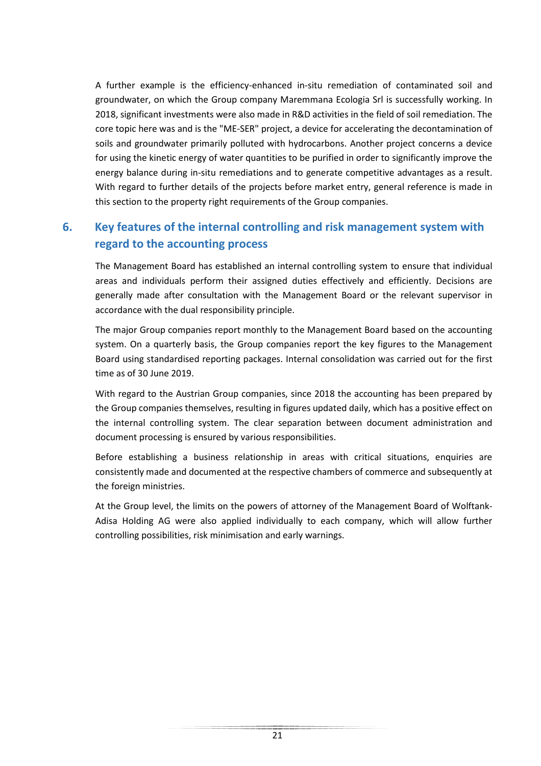A further example is the efficiency-enhanced in-situ remediation of contaminated soil and groundwater, on which the Group company Maremmana Ecologia Srl is successfully working. In 2018, significant investments were also made in R&D activities in the field of soil remediation. The core topic here was and is the "ME-SER" project, a device for accelerating the decontamination of soils and groundwater primarily polluted with hydrocarbons. Another project concerns a device for using the kinetic energy of water quantities to be purified in order to significantly improve the energy balance during in-situ remediations and to generate competitive advantages as a result. With regard to further details of the projects before market entry, general reference is made in this section to the property right requirements of the Group companies.

## **6. Key features of the internal controlling and risk management system with regard to the accounting process**

The Management Board has established an internal controlling system to ensure that individual areas and individuals perform their assigned duties effectively and efficiently. Decisions are generally made after consultation with the Management Board or the relevant supervisor in accordance with the dual responsibility principle.

The major Group companies report monthly to the Management Board based on the accounting system. On a quarterly basis, the Group companies report the key figures to the Management Board using standardised reporting packages. Internal consolidation was carried out for the first time as of 30 June 2019.

With regard to the Austrian Group companies, since 2018 the accounting has been prepared by the Group companies themselves, resulting in figures updated daily, which has a positive effect on the internal controlling system. The clear separation between document administration and document processing is ensured by various responsibilities.

Before establishing a business relationship in areas with critical situations, enquiries are consistently made and documented at the respective chambers of commerce and subsequently at the foreign ministries.

At the Group level, the limits on the powers of attorney of the Management Board of Wolftank-Adisa Holding AG were also applied individually to each company, which will allow further controlling possibilities, risk minimisation and early warnings.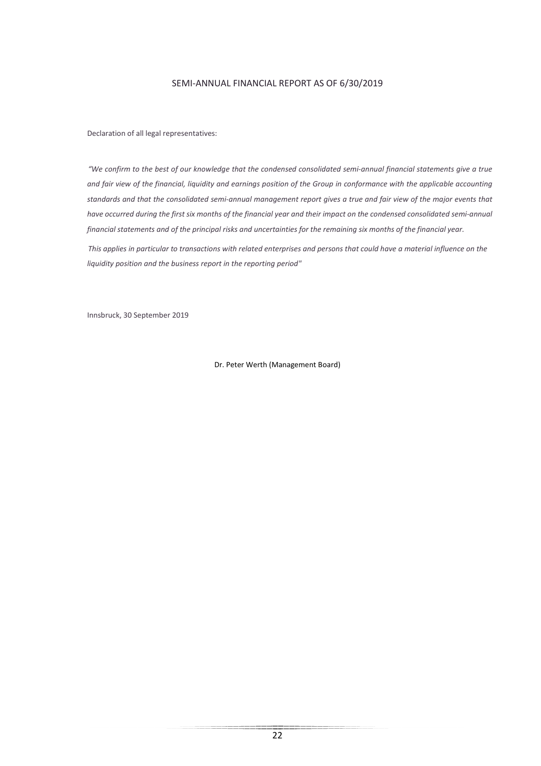#### SEMI-ANNUAL FINANCIAL REPORT AS OF 6/30/2019

Declaration of all legal representatives:

*"We confirm to the best of our knowledge that the condensed consolidated semi-annual financial statements give a true and fair view of the financial, liquidity and earnings position of the Group in conformance with the applicable accounting standards and that the consolidated semi-annual management report gives a true and fair view of the major events that have occurred during the first six months of the financial year and their impact on the condensed consolidated semi-annual financial statements and of the principal risks and uncertainties for the remaining six months of the financial year.*

*This applies in particular to transactions with related enterprises and persons that could have a material influence on the liquidity position and the business report in the reporting period"*

Innsbruck, 30 September 2019

Dr. Peter Werth (Management Board)